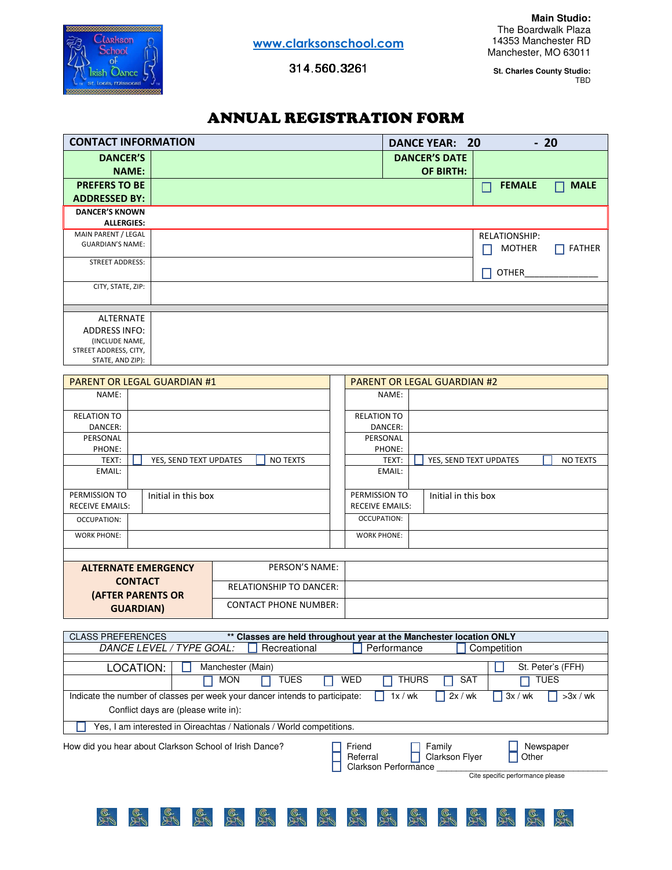

**GUARDIAN)**

314.560.3261 314.560.3261

**St. Charles County Studio:** TBD

# ANNUAL REGISTRATION FORM

| <b>CONTACT INFORMATION</b> | $-20$<br>DANCE YEAR: 20 |                      |               |  |  |  |  |  |
|----------------------------|-------------------------|----------------------|---------------|--|--|--|--|--|
| <b>DANCER'S</b>            | <b>DANCER'S DATE</b>    |                      |               |  |  |  |  |  |
| <b>NAME:</b>               | <b>OF BIRTH:</b>        |                      |               |  |  |  |  |  |
| <b>PREFERS TO BE</b>       |                         | <b>FEMALE</b><br>۰   | <b>MALE</b>   |  |  |  |  |  |
| <b>ADDRESSED BY:</b>       |                         |                      |               |  |  |  |  |  |
| <b>DANCER'S KNOWN</b>      |                         |                      |               |  |  |  |  |  |
| <b>ALLERGIES:</b>          |                         |                      |               |  |  |  |  |  |
| MAIN PARENT / LEGAL        |                         | <b>RELATIONSHIP:</b> |               |  |  |  |  |  |
| <b>GUARDIAN'S NAME:</b>    |                         | <b>MOTHER</b>        | <b>FATHER</b> |  |  |  |  |  |
| STREET ADDRESS:            |                         |                      |               |  |  |  |  |  |
|                            |                         | <b>OTHER</b>         |               |  |  |  |  |  |
| CITY, STATE, ZIP:          |                         |                      |               |  |  |  |  |  |
|                            |                         |                      |               |  |  |  |  |  |
|                            |                         |                      |               |  |  |  |  |  |
| ALTERNATE                  |                         |                      |               |  |  |  |  |  |
| <b>ADDRESS INFO:</b>       |                         |                      |               |  |  |  |  |  |
| (INCLUDE NAME,             |                         |                      |               |  |  |  |  |  |
| STREET ADDRESS, CITY,      |                         |                      |               |  |  |  |  |  |
| STATE, AND ZIP):           |                         |                      |               |  |  |  |  |  |

|                                            | <b>PARENT OR LEGAL GUARDIAN #1</b> |                                | <b>PARENT OR LEGAL GUARDIAN #2</b> |                                           |  |  |  |  |  |  |  |  |  |
|--------------------------------------------|------------------------------------|--------------------------------|------------------------------------|-------------------------------------------|--|--|--|--|--|--|--|--|--|
| NAME:                                      |                                    |                                | NAME:                              |                                           |  |  |  |  |  |  |  |  |  |
| <b>RELATION TO</b><br>DANCER:              |                                    |                                | <b>RELATION TO</b><br>DANCER:      |                                           |  |  |  |  |  |  |  |  |  |
| PERSONAL                                   |                                    |                                | PERSONAL                           |                                           |  |  |  |  |  |  |  |  |  |
| PHONE:                                     |                                    |                                | PHONE:                             |                                           |  |  |  |  |  |  |  |  |  |
| TEXT:                                      | YES, SEND TEXT UPDATES             | <b>NO TEXTS</b>                | TEXT:                              | YES, SEND TEXT UPDATES<br><b>NO TEXTS</b> |  |  |  |  |  |  |  |  |  |
| EMAIL:                                     |                                    |                                | EMAIL:                             |                                           |  |  |  |  |  |  |  |  |  |
|                                            |                                    |                                |                                    |                                           |  |  |  |  |  |  |  |  |  |
| PERMISSION TO                              | Initial in this box                |                                | PERMISSION TO                      | Initial in this box                       |  |  |  |  |  |  |  |  |  |
| <b>RECEIVE EMAILS:</b>                     |                                    |                                | <b>RECEIVE EMAILS:</b>             |                                           |  |  |  |  |  |  |  |  |  |
| OCCUPATION:                                |                                    |                                | OCCUPATION:                        |                                           |  |  |  |  |  |  |  |  |  |
| <b>WORK PHONE:</b>                         |                                    |                                | <b>WORK PHONE:</b>                 |                                           |  |  |  |  |  |  |  |  |  |
|                                            |                                    |                                |                                    |                                           |  |  |  |  |  |  |  |  |  |
| <b>ALTERNATE EMERGENCY</b>                 |                                    | PERSON'S NAME:                 |                                    |                                           |  |  |  |  |  |  |  |  |  |
| <b>CONTACT</b><br><b>(AFTER PARENTS OR</b> |                                    | <b>RELATIONSHIP TO DANCER:</b> |                                    |                                           |  |  |  |  |  |  |  |  |  |
|                                            |                                    |                                |                                    |                                           |  |  |  |  |  |  |  |  |  |

CONTACT PHONE NUMBER:

| <b>CLASS PREFERENCES</b>                                                                                                                                      |                                                                             | ** Classes are held throughout year at the Manchester location ONLY |                                  |  |  |  |  |  |  |  |  |  |  |  |  |
|---------------------------------------------------------------------------------------------------------------------------------------------------------------|-----------------------------------------------------------------------------|---------------------------------------------------------------------|----------------------------------|--|--|--|--|--|--|--|--|--|--|--|--|
|                                                                                                                                                               | DANCE LEVEL / TYPE GOAL:<br>Recreational<br>Performance<br>Competition      |                                                                     |                                  |  |  |  |  |  |  |  |  |  |  |  |  |
|                                                                                                                                                               |                                                                             |                                                                     |                                  |  |  |  |  |  |  |  |  |  |  |  |  |
| LOCATION:                                                                                                                                                     | Manchester (Main)                                                           |                                                                     | St. Peter's (FFH)                |  |  |  |  |  |  |  |  |  |  |  |  |
|                                                                                                                                                               | TUES<br><b>MON</b>                                                          | <b>WED</b><br><b>THURS</b>                                          | <b>SAT</b><br>TUES               |  |  |  |  |  |  |  |  |  |  |  |  |
|                                                                                                                                                               | Indicate the number of classes per week your dancer intends to participate: | 1x/wk                                                               | 3x / wk<br>2x/wk<br>$>3x$ / wk   |  |  |  |  |  |  |  |  |  |  |  |  |
| Conflict days are (please write in):                                                                                                                          |                                                                             |                                                                     |                                  |  |  |  |  |  |  |  |  |  |  |  |  |
|                                                                                                                                                               | Yes, I am interested in Oireachtas / Nationals / World competitions.        |                                                                     |                                  |  |  |  |  |  |  |  |  |  |  |  |  |
| How did you hear about Clarkson School of Irish Dance?<br>Friend<br>Family<br>Newspaper<br>Clarkson Flyer<br>Referral<br>Other<br><b>Clarkson Performance</b> |                                                                             |                                                                     |                                  |  |  |  |  |  |  |  |  |  |  |  |  |
|                                                                                                                                                               |                                                                             |                                                                     | Cite specific performance please |  |  |  |  |  |  |  |  |  |  |  |  |
|                                                                                                                                                               |                                                                             |                                                                     |                                  |  |  |  |  |  |  |  |  |  |  |  |  |
|                                                                                                                                                               |                                                                             | e<br>1G<br>est<br>16                                                |                                  |  |  |  |  |  |  |  |  |  |  |  |  |